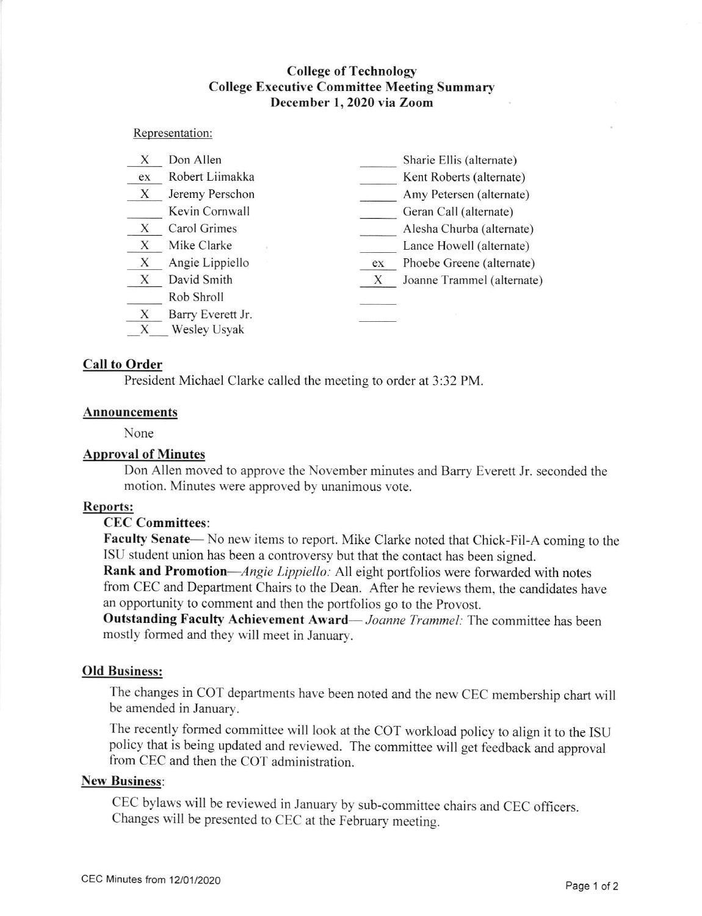# **College of Technology** College Executive Committee Meeting Summary December 1,2020 via Zoom

#### Representation:

| X      | Don Allen                         |    | Sharie Ellis (alternate)   |
|--------|-----------------------------------|----|----------------------------|
| ex     | Robert Liimakka                   |    | Kent Roberts (alternate)   |
| X      | Jeremy Perschon                   |    | Amy Petersen (alternate)   |
|        | Kevin Cornwall                    |    | Geran Call (alternate)     |
| X      | Carol Grimes                      |    | Alesha Churba (alternate)  |
| X      | Mike Clarke                       |    | Lance Howell (alternate)   |
| X      | Angie Lippiello                   | ex | Phoebe Greene (alternate)  |
| X      | David Smith                       | X  | Joanne Trammel (alternate) |
|        | Rob Shroll                        |    |                            |
| X<br>X | Barry Everett Jr.<br>Wesley Usyak |    |                            |

### Call to Order

President Michael Clarke called the meeting to order at 3:32 PM.

#### Announcements

None

## Approval of Minutes

Don Allen moved to approve the November minutes and Barry Everett Jr. seconded the motion. Minutes were approved by unanimous vote.

#### ReDorts:

#### CEC Committees:

Faculty Senate— No new items to report. Mike Clarke noted that Chick-Fil-A coming to the ISU student union has been a controversy but that the contact has been signed.

Rank and Promotion-Angie Lippiello: All eight portfolios were forwarded with notes from CEC and Department Chairs to the Dean. After he reviews them, the candidates have an opportunity to comment and then the portfolios go to the Provost.

Outstanding Faculty Achievement Award— Joanne Trammel: The committee has been mostly formed and they will meet in January.

# Old Business:

The changes in COT departments have been noted and the new CEC membership chart will be amended in January.

The recently formed committee will look at the COT workload policy to align it to the ISU policy that is being updated and reviewed. The committee will get feedback and approval from CEC and then the COT administration.

#### New Business:

cEC bylaws will be reviewed in January by sub-committee chairs and cEC officers. Changes will be presented to CEC at the February meeting.